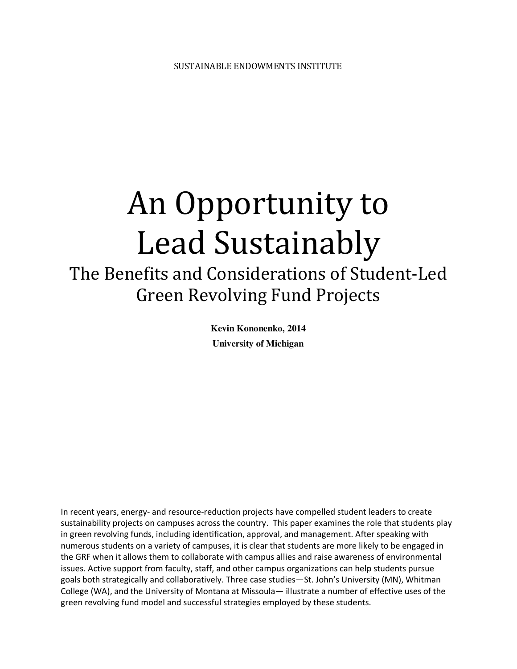# An Opportunity to Lead Sustainably

# The Benefits and Considerations of Student-Led Green Revolving Fund Projects

**Kevin Kononenko, 2014 University of Michigan** 

In recent years, energy- and resource-reduction projects have compelled student leaders to create sustainability projects on campuses across the country. This paper examines the role that students play in green revolving funds, including identification, approval, and management. After speaking with numerous students on a variety of campuses, it is clear that students are more likely to be engaged in the GRF when it allows them to collaborate with campus allies and raise awareness of environmental issues. Active support from faculty, staff, and other campus organizations can help students pursue goals both strategically and collaboratively. Three case studies—St. John's University (MN), Whitman College (WA), and the University of Montana at Missoula— illustrate a number of effective uses of the green revolving fund model and successful strategies employed by these students.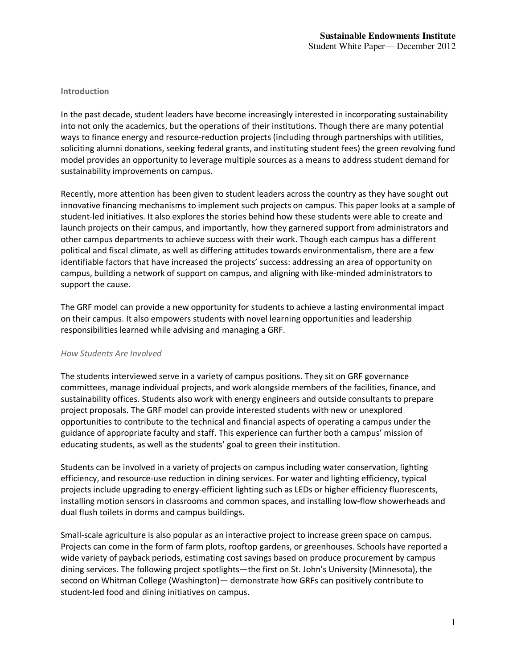## **Introduction**

In the past decade, student leaders have become increasingly interested in incorporating sustainability into not only the academics, but the operations of their institutions. Though there are many potential ways to finance energy and resource-reduction projects (including through partnerships with utilities, soliciting alumni donations, seeking federal grants, and instituting student fees) the green revolving fund model provides an opportunity to leverage multiple sources as a means to address student demand for sustainability improvements on campus.

Recently, more attention has been given to student leaders across the country as they have sought out innovative financing mechanisms to implement such projects on campus. This paper looks at a sample of student-led initiatives. It also explores the stories behind how these students were able to create and launch projects on their campus, and importantly, how they garnered support from administrators and other campus departments to achieve success with their work. Though each campus has a different political and fiscal climate, as well as differing attitudes towards environmentalism, there are a few identifiable factors that have increased the projects' success: addressing an area of opportunity on campus, building a network of support on campus, and aligning with like-minded administrators to support the cause.

The GRF model can provide a new opportunity for students to achieve a lasting environmental impact on their campus. It also empowers students with novel learning opportunities and leadership responsibilities learned while advising and managing a GRF.

#### *How Students Are Involved*

The students interviewed serve in a variety of campus positions. They sit on GRF governance committees, manage individual projects, and work alongside members of the facilities, finance, and sustainability offices. Students also work with energy engineers and outside consultants to prepare project proposals. The GRF model can provide interested students with new or unexplored opportunities to contribute to the technical and financial aspects of operating a campus under the guidance of appropriate faculty and staff. This experience can further both a campus' mission of educating students, as well as the students' goal to green their institution.

Students can be involved in a variety of projects on campus including water conservation, lighting efficiency, and resource-use reduction in dining services. For water and lighting efficiency, typical projects include upgrading to energy-efficient lighting such as LEDs or higher efficiency fluorescents, installing motion sensors in classrooms and common spaces, and installing low-flow showerheads and dual flush toilets in dorms and campus buildings.

Small-scale agriculture is also popular as an interactive project to increase green space on campus. Projects can come in the form of farm plots, rooftop gardens, or greenhouses. Schools have reported a wide variety of payback periods, estimating cost savings based on produce procurement by campus dining services. The following project spotlights—the first on St. John's University (Minnesota), the second on Whitman College (Washington)— demonstrate how GRFs can positively contribute to student-led food and dining initiatives on campus.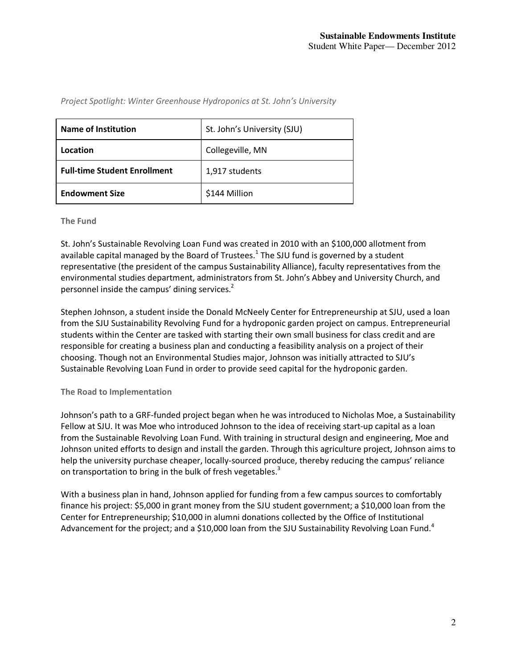| <b>Name of Institution</b>          | St. John's University (SJU) |  |
|-------------------------------------|-----------------------------|--|
| Location                            | Collegeville, MN            |  |
| <b>Full-time Student Enrollment</b> | 1,917 students              |  |
| <b>Endowment Size</b>               | \$144 Million               |  |

*Project Spotlight: Winter Greenhouse Hydroponics at St. John's University*

#### **The Fund**

St. John's Sustainable Revolving Loan Fund was created in 2010 with an \$100,000 allotment from available capital managed by the Board of Trustees.<sup>1</sup> The SJU fund is governed by a student representative (the president of the campus Sustainability Alliance), faculty representatives from the environmental studies department, administrators from St. John's Abbey and University Church, and personnel inside the campus' dining services.<sup>2</sup>

Stephen Johnson, a student inside the Donald McNeely Center for Entrepreneurship at SJU, used a loan from the SJU Sustainability Revolving Fund for a hydroponic garden project on campus. Entrepreneurial students within the Center are tasked with starting their own small business for class credit and are responsible for creating a business plan and conducting a feasibility analysis on a project of their choosing. Though not an Environmental Studies major, Johnson was initially attracted to SJU's Sustainable Revolving Loan Fund in order to provide seed capital for the hydroponic garden.

#### **The Road to Implementation**

Johnson's path to a GRF-funded project began when he was introduced to Nicholas Moe, a Sustainability Fellow at SJU. It was Moe who introduced Johnson to the idea of receiving start-up capital as a loan from the Sustainable Revolving Loan Fund. With training in structural design and engineering, Moe and Johnson united efforts to design and install the garden. Through this agriculture project, Johnson aims to help the university purchase cheaper, locally-sourced produce, thereby reducing the campus' reliance on transportation to bring in the bulk of fresh vegetables.<sup>3</sup>

With a business plan in hand, Johnson applied for funding from a few campus sources to comfortably finance his project: \$5,000 in grant money from the SJU student government; a \$10,000 loan from the Center for Entrepreneurship; \$10,000 in alumni donations collected by the Office of Institutional Advancement for the project; and a \$10,000 loan from the SJU Sustainability Revolving Loan Fund.<sup>4</sup>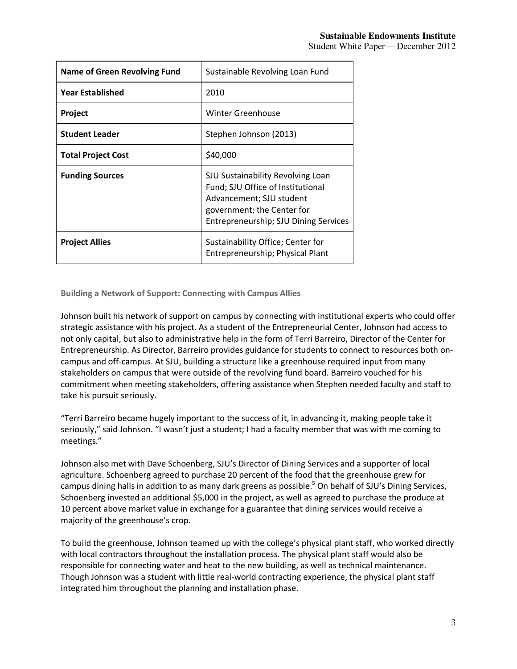| <b>Name of Green Revolving Fund</b> | Sustainable Revolving Loan Fund                                                                                                                                           |
|-------------------------------------|---------------------------------------------------------------------------------------------------------------------------------------------------------------------------|
| <b>Year Established</b>             | 2010                                                                                                                                                                      |
| Project                             | Winter Greenhouse                                                                                                                                                         |
| <b>Student Leader</b>               | Stephen Johnson (2013)                                                                                                                                                    |
| <b>Total Project Cost</b>           | \$40,000                                                                                                                                                                  |
| <b>Funding Sources</b>              | SJU Sustainability Revolving Loan<br>Fund; SJU Office of Institutional<br>Advancement; SJU student<br>government; the Center for<br>Entrepreneurship; SJU Dining Services |
| <b>Project Allies</b>               | Sustainability Office; Center for<br>Entrepreneurship; Physical Plant                                                                                                     |

**Building a Network of Support: Connecting with Campus Allies**

Johnson built his network of support on campus by connecting with institutional experts who could offer strategic assistance with his project. As a student of the Entrepreneurial Center, Johnson had access to not only capital, but also to administrative help in the form of Terri Barreiro, Director of the Center for Entrepreneurship. As Director, Barreiro provides guidance for students to connect to resources both oncampus and off-campus. At SJU, building a structure like a greenhouse required input from many stakeholders on campus that were outside of the revolving fund board. Barreiro vouched for his commitment when meeting stakeholders, offering assistance when Stephen needed faculty and staff to take his pursuit seriously.

"Terri Barreiro became hugely important to the success of it, in advancing it, making people take it seriously," said Johnson. "I wasn't just a student; I had a faculty member that was with me coming to meetings."

Johnson also met with Dave Schoenberg, SJU's Director of Dining Services and a supporter of local agriculture. Schoenberg agreed to purchase 20 percent of the food that the greenhouse grew for campus dining halls in addition to as many dark greens as possible.<sup>5</sup> On behalf of SJU's Dining Services, Schoenberg invested an additional \$5,000 in the project, as well as agreed to purchase the produce at 10 percent above market value in exchange for a guarantee that dining services would receive a majority of the greenhouse's crop.

To build the greenhouse, Johnson teamed up with the college's physical plant staff, who worked directly with local contractors throughout the installation process. The physical plant staff would also be responsible for connecting water and heat to the new building, as well as technical maintenance. Though Johnson was a student with little real-world contracting experience, the physical plant staff integrated him throughout the planning and installation phase.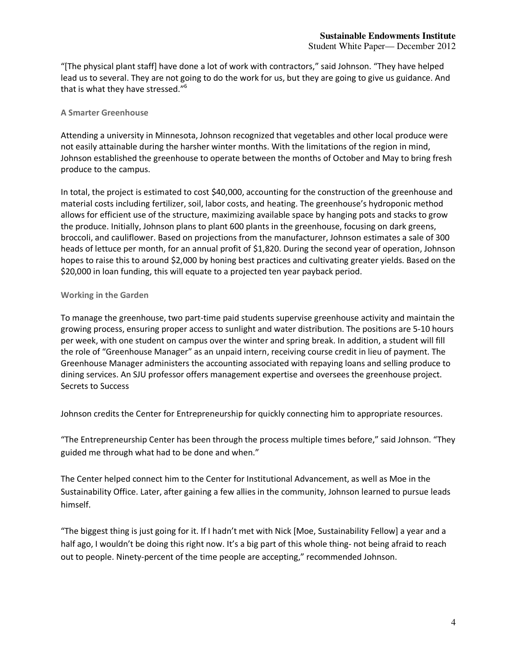# Student White Paper— December 2012

"[The physical plant staff] have done a lot of work with contractors," said Johnson. "They have helped lead us to several. They are not going to do the work for us, but they are going to give us guidance. And that is what they have stressed."<sup>6</sup>

# **A Smarter Greenhouse**

Attending a university in Minnesota, Johnson recognized that vegetables and other local produce were not easily attainable during the harsher winter months. With the limitations of the region in mind, Johnson established the greenhouse to operate between the months of October and May to bring fresh produce to the campus.

In total, the project is estimated to cost \$40,000, accounting for the construction of the greenhouse and material costs including fertilizer, soil, labor costs, and heating. The greenhouse's hydroponic method allows for efficient use of the structure, maximizing available space by hanging pots and stacks to grow the produce. Initially, Johnson plans to plant 600 plants in the greenhouse, focusing on dark greens, broccoli, and cauliflower. Based on projections from the manufacturer, Johnson estimates a sale of 300 heads of lettuce per month, for an annual profit of \$1,820. During the second year of operation, Johnson hopes to raise this to around \$2,000 by honing best practices and cultivating greater yields. Based on the \$20,000 in loan funding, this will equate to a projected ten year payback period.

# **Working in the Garden**

To manage the greenhouse, two part-time paid students supervise greenhouse activity and maintain the growing process, ensuring proper access to sunlight and water distribution. The positions are 5-10 hours per week, with one student on campus over the winter and spring break. In addition, a student will fill the role of "Greenhouse Manager" as an unpaid intern, receiving course credit in lieu of payment. The Greenhouse Manager administers the accounting associated with repaying loans and selling produce to dining services. An SJU professor offers management expertise and oversees the greenhouse project. Secrets to Success

Johnson credits the Center for Entrepreneurship for quickly connecting him to appropriate resources.

"The Entrepreneurship Center has been through the process multiple times before," said Johnson. "They guided me through what had to be done and when."

The Center helped connect him to the Center for Institutional Advancement, as well as Moe in the Sustainability Office. Later, after gaining a few allies in the community, Johnson learned to pursue leads himself.

"The biggest thing is just going for it. If I hadn't met with Nick [Moe, Sustainability Fellow] a year and a half ago, I wouldn't be doing this right now. It's a big part of this whole thing- not being afraid to reach out to people. Ninety-percent of the time people are accepting," recommended Johnson.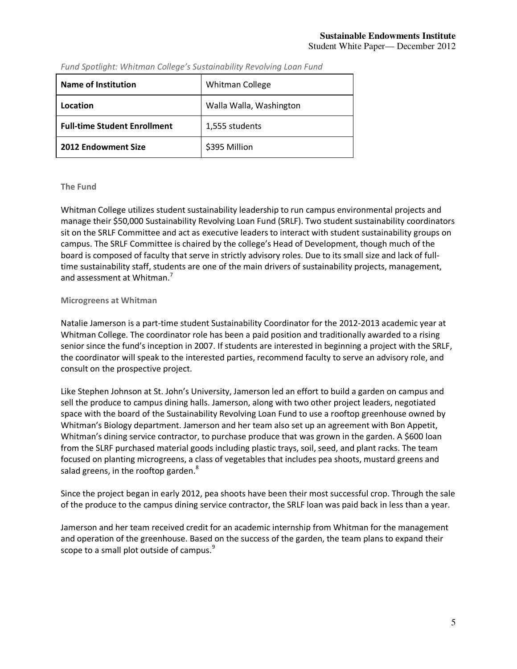| <b>Name of Institution</b>          | <b>Whitman College</b>  |  |
|-------------------------------------|-------------------------|--|
| Location                            | Walla Walla, Washington |  |
| <b>Full-time Student Enrollment</b> | 1,555 students          |  |
| 2012 Endowment Size                 | \$395 Million           |  |

*Fund Spotlight: Whitman College's Sustainability Revolving Loan Fund*

## **The Fund**

Whitman College utilizes student sustainability leadership to run campus environmental projects and manage their \$50,000 Sustainability Revolving Loan Fund (SRLF). Two student sustainability coordinators sit on the SRLF Committee and act as executive leaders to interact with student sustainability groups on campus. The SRLF Committee is chaired by the college's Head of Development, though much of the board is composed of faculty that serve in strictly advisory roles. Due to its small size and lack of fulltime sustainability staff, students are one of the main drivers of sustainability projects, management, and assessment at Whitman.<sup>7</sup>

## **Microgreens at Whitman**

Natalie Jamerson is a part-time student Sustainability Coordinator for the 2012-2013 academic year at Whitman College. The coordinator role has been a paid position and traditionally awarded to a rising senior since the fund's inception in 2007. If students are interested in beginning a project with the SRLF, the coordinator will speak to the interested parties, recommend faculty to serve an advisory role, and consult on the prospective project.

Like Stephen Johnson at St. John's University, Jamerson led an effort to build a garden on campus and sell the produce to campus dining halls. Jamerson, along with two other project leaders, negotiated space with the board of the Sustainability Revolving Loan Fund to use a rooftop greenhouse owned by Whitman's Biology department. Jamerson and her team also set up an agreement with Bon Appetit, Whitman's dining service contractor, to purchase produce that was grown in the garden. A \$600 loan from the SLRF purchased material goods including plastic trays, soil, seed, and plant racks. The team focused on planting microgreens, a class of vegetables that includes pea shoots, mustard greens and salad greens, in the rooftop garden.<sup>8</sup>

Since the project began in early 2012, pea shoots have been their most successful crop. Through the sale of the produce to the campus dining service contractor, the SRLF loan was paid back in less than a year.

Jamerson and her team received credit for an academic internship from Whitman for the management and operation of the greenhouse. Based on the success of the garden, the team plans to expand their scope to a small plot outside of campus.<sup>9</sup>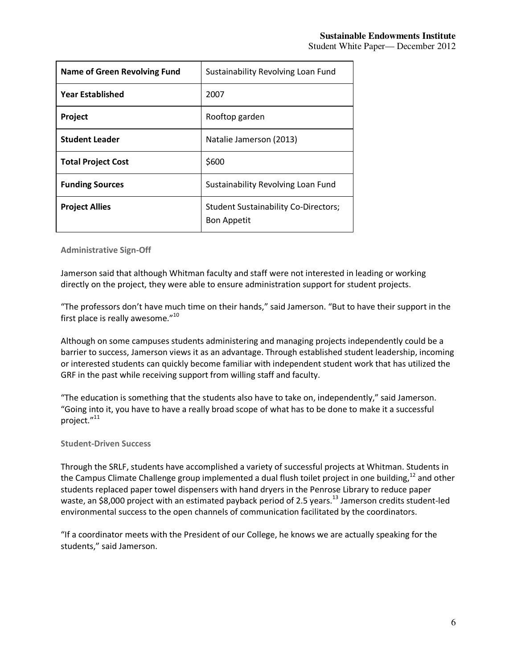| <b>Name of Green Revolving Fund</b> | Sustainability Revolving Loan Fund                                |  |
|-------------------------------------|-------------------------------------------------------------------|--|
| Year Established                    | 2007                                                              |  |
| Project                             | Rooftop garden                                                    |  |
| <b>Student Leader</b>               | Natalie Jamerson (2013)                                           |  |
| <b>Total Project Cost</b>           | \$600                                                             |  |
| <b>Funding Sources</b>              | Sustainability Revolving Loan Fund                                |  |
| <b>Project Allies</b>               | <b>Student Sustainability Co-Directors;</b><br><b>Bon Appetit</b> |  |

**Administrative Sign-Off**

Jamerson said that although Whitman faculty and staff were not interested in leading or working directly on the project, they were able to ensure administration support for student projects.

"The professors don't have much time on their hands," said Jamerson. "But to have their support in the first place is really awesome."<sup>10</sup>

Although on some campuses students administering and managing projects independently could be a barrier to success, Jamerson views it as an advantage. Through established student leadership, incoming or interested students can quickly become familiar with independent student work that has utilized the GRF in the past while receiving support from willing staff and faculty.

"The education is something that the students also have to take on, independently," said Jamerson. "Going into it, you have to have a really broad scope of what has to be done to make it a successful project."<sup>11</sup>

# **Student-Driven Success**

Through the SRLF, students have accomplished a variety of successful projects at Whitman. Students in the Campus Climate Challenge group implemented a dual flush toilet project in one building, $12$  and other students replaced paper towel dispensers with hand dryers in the Penrose Library to reduce paper waste, an \$8,000 project with an estimated payback period of 2.5 years.<sup>13</sup> Jamerson credits student-led environmental success to the open channels of communication facilitated by the coordinators.

"If a coordinator meets with the President of our College, he knows we are actually speaking for the students," said Jamerson.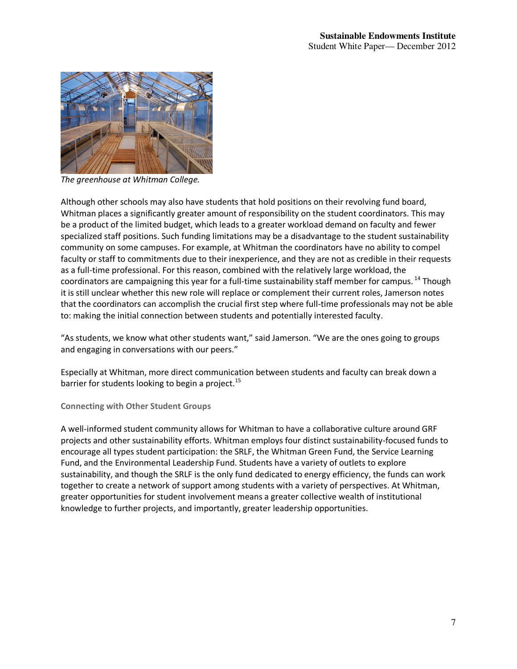

*The greenhouse at Whitman College.* 

Although other schools may also have students that hold positions on their revolving fund board, Whitman places a significantly greater amount of responsibility on the student coordinators. This may be a product of the limited budget, which leads to a greater workload demand on faculty and fewer specialized staff positions. Such funding limitations may be a disadvantage to the student sustainability community on some campuses. For example, at Whitman the coordinators have no ability to compel faculty or staff to commitments due to their inexperience, and they are not as credible in their requests as a full-time professional. For this reason, combined with the relatively large workload, the coordinators are campaigning this year for a full-time sustainability staff member for campus.<sup>14</sup> Though it is still unclear whether this new role will replace or complement their current roles, Jamerson notes that the coordinators can accomplish the crucial first step where full-time professionals may not be able to: making the initial connection between students and potentially interested faculty.

"As students, we know what other students want," said Jamerson. "We are the ones going to groups and engaging in conversations with our peers."

Especially at Whitman, more direct communication between students and faculty can break down a barrier for students looking to begin a project.<sup>15</sup>

**Connecting with Other Student Groups**

A well-informed student community allows for Whitman to have a collaborative culture around GRF projects and other sustainability efforts. Whitman employs four distinct sustainability-focused funds to encourage all types student participation: the SRLF, the Whitman Green Fund, the Service Learning Fund, and the Environmental Leadership Fund. Students have a variety of outlets to explore sustainability, and though the SRLF is the only fund dedicated to energy efficiency, the funds can work together to create a network of support among students with a variety of perspectives. At Whitman, greater opportunities for student involvement means a greater collective wealth of institutional knowledge to further projects, and importantly, greater leadership opportunities.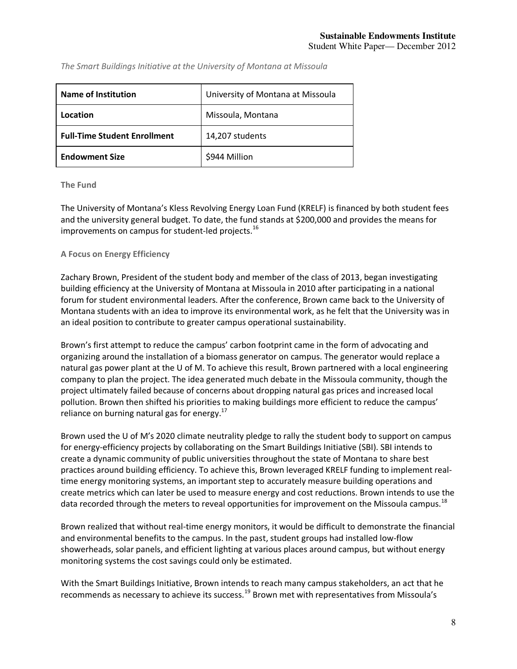| Name of Institution                 | University of Montana at Missoula |
|-------------------------------------|-----------------------------------|
| Location                            | Missoula, Montana                 |
| <b>Full-Time Student Enrollment</b> | 14,207 students                   |
| <b>Endowment Size</b>               | \$944 Million                     |

*The Smart Buildings Initiative at the University of Montana at Missoula* 

#### **The Fund**

The University of Montana's Kless Revolving Energy Loan Fund (KRELF) is financed by both student fees and the university general budget. To date, the fund stands at \$200,000 and provides the means for improvements on campus for student-led projects.<sup>16</sup>

#### **A Focus on Energy Efficiency**

Zachary Brown, President of the student body and member of the class of 2013, began investigating building efficiency at the University of Montana at Missoula in 2010 after participating in a national forum for student environmental leaders. After the conference, Brown came back to the University of Montana students with an idea to improve its environmental work, as he felt that the University was in an ideal position to contribute to greater campus operational sustainability.

Brown's first attempt to reduce the campus' carbon footprint came in the form of advocating and organizing around the installation of a biomass generator on campus. The generator would replace a natural gas power plant at the U of M. To achieve this result, Brown partnered with a local engineering company to plan the project. The idea generated much debate in the Missoula community, though the project ultimately failed because of concerns about dropping natural gas prices and increased local pollution. Brown then shifted his priorities to making buildings more efficient to reduce the campus' reliance on burning natural gas for energy. $17$ 

Brown used the U of M's 2020 climate neutrality pledge to rally the student body to support on campus for energy-efficiency projects by collaborating on the Smart Buildings Initiative (SBI). SBI intends to create a dynamic community of public universities throughout the state of Montana to share best practices around building efficiency. To achieve this, Brown leveraged KRELF funding to implement realtime energy monitoring systems, an important step to accurately measure building operations and create metrics which can later be used to measure energy and cost reductions. Brown intends to use the data recorded through the meters to reveal opportunities for improvement on the Missoula campus.<sup>18</sup>

Brown realized that without real-time energy monitors, it would be difficult to demonstrate the financial and environmental benefits to the campus. In the past, student groups had installed low-flow showerheads, solar panels, and efficient lighting at various places around campus, but without energy monitoring systems the cost savings could only be estimated.

With the Smart Buildings Initiative, Brown intends to reach many campus stakeholders, an act that he recommends as necessary to achieve its success.<sup>19</sup> Brown met with representatives from Missoula's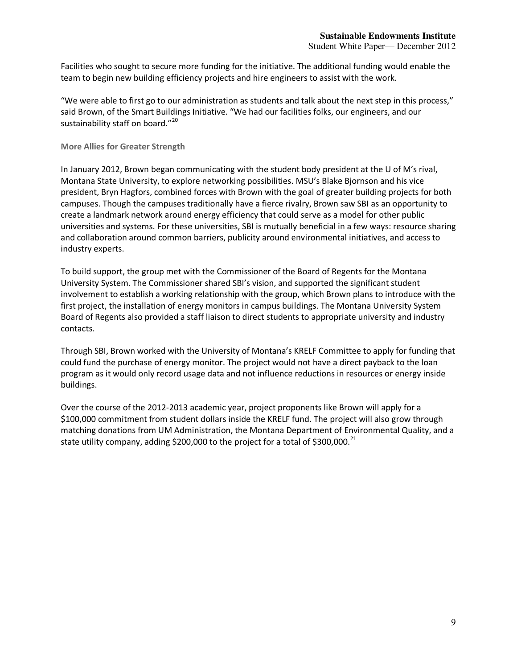Facilities who sought to secure more funding for the initiative. The additional funding would enable the team to begin new building efficiency projects and hire engineers to assist with the work.

"We were able to first go to our administration as students and talk about the next step in this process," said Brown, of the Smart Buildings Initiative. "We had our facilities folks, our engineers, and our sustainability staff on board."<sup>20</sup>

# **More Allies for Greater Strength**

In January 2012, Brown began communicating with the student body president at the U of M's rival, Montana State University, to explore networking possibilities. MSU's Blake Bjornson and his vice president, Bryn Hagfors, combined forces with Brown with the goal of greater building projects for both campuses. Though the campuses traditionally have a fierce rivalry, Brown saw SBI as an opportunity to create a landmark network around energy efficiency that could serve as a model for other public universities and systems. For these universities, SBI is mutually beneficial in a few ways: resource sharing and collaboration around common barriers, publicity around environmental initiatives, and access to industry experts.

To build support, the group met with the Commissioner of the Board of Regents for the Montana University System. The Commissioner shared SBI's vision, and supported the significant student involvement to establish a working relationship with the group, which Brown plans to introduce with the first project, the installation of energy monitors in campus buildings. The Montana University System Board of Regents also provided a staff liaison to direct students to appropriate university and industry contacts.

Through SBI, Brown worked with the University of Montana's KRELF Committee to apply for funding that could fund the purchase of energy monitor. The project would not have a direct payback to the loan program as it would only record usage data and not influence reductions in resources or energy inside buildings.

Over the course of the 2012-2013 academic year, project proponents like Brown will apply for a \$100,000 commitment from student dollars inside the KRELF fund. The project will also grow through matching donations from UM Administration, the Montana Department of Environmental Quality, and a state utility company, adding \$200,000 to the project for a total of \$300,000.<sup>21</sup>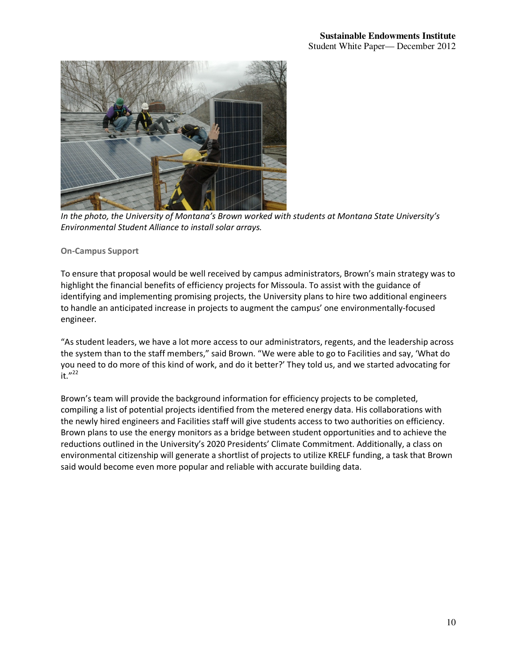

*In the photo, the University of Montana's Brown worked with students at Montana State University's Environmental Student Alliance to install solar arrays.* 

# **On-Campus Support**

To ensure that proposal would be well received by campus administrators, Brown's main strategy was to highlight the financial benefits of efficiency projects for Missoula. To assist with the guidance of identifying and implementing promising projects, the University plans to hire two additional engineers to handle an anticipated increase in projects to augment the campus' one environmentally-focused engineer.

"As student leaders, we have a lot more access to our administrators, regents, and the leadership across the system than to the staff members," said Brown. "We were able to go to Facilities and say, 'What do you need to do more of this kind of work, and do it better?' They told us, and we started advocating for  $it."$ <sup>22</sup>

Brown's team will provide the background information for efficiency projects to be completed, compiling a list of potential projects identified from the metered energy data. His collaborations with the newly hired engineers and Facilities staff will give students access to two authorities on efficiency. Brown plans to use the energy monitors as a bridge between student opportunities and to achieve the reductions outlined in the University's 2020 Presidents' Climate Commitment. Additionally, a class on environmental citizenship will generate a shortlist of projects to utilize KRELF funding, a task that Brown said would become even more popular and reliable with accurate building data.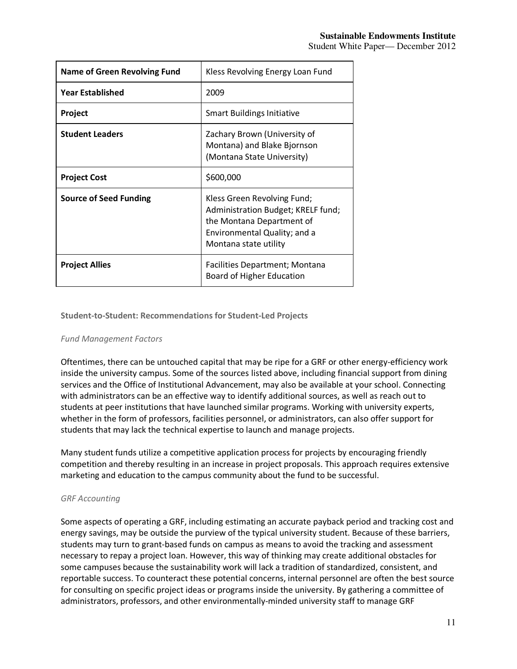| <b>Name of Green Revolving Fund</b> | Kless Revolving Energy Loan Fund                                                                                                                        |  |  |
|-------------------------------------|---------------------------------------------------------------------------------------------------------------------------------------------------------|--|--|
| <b>Year Established</b>             | 2009                                                                                                                                                    |  |  |
| Project                             | Smart Buildings Initiative                                                                                                                              |  |  |
| <b>Student Leaders</b>              | Zachary Brown (University of<br>Montana) and Blake Bjornson<br>(Montana State University)                                                               |  |  |
| <b>Project Cost</b>                 | \$600,000                                                                                                                                               |  |  |
| <b>Source of Seed Funding</b>       | Kless Green Revolving Fund;<br>Administration Budget; KRELF fund;<br>the Montana Department of<br>Environmental Quality; and a<br>Montana state utility |  |  |
| <b>Project Allies</b>               | Facilities Department; Montana<br>Board of Higher Education                                                                                             |  |  |

**Student-to-Student: Recommendations for Student-Led Projects**

# *Fund Management Factors*

Oftentimes, there can be untouched capital that may be ripe for a GRF or other energy-efficiency work inside the university campus. Some of the sources listed above, including financial support from dining services and the Office of Institutional Advancement, may also be available at your school. Connecting with administrators can be an effective way to identify additional sources, as well as reach out to students at peer institutions that have launched similar programs. Working with university experts, whether in the form of professors, facilities personnel, or administrators, can also offer support for students that may lack the technical expertise to launch and manage projects.

Many student funds utilize a competitive application process for projects by encouraging friendly competition and thereby resulting in an increase in project proposals. This approach requires extensive marketing and education to the campus community about the fund to be successful.

# *GRF Accounting*

Some aspects of operating a GRF, including estimating an accurate payback period and tracking cost and energy savings, may be outside the purview of the typical university student. Because of these barriers, students may turn to grant-based funds on campus as means to avoid the tracking and assessment necessary to repay a project loan. However, this way of thinking may create additional obstacles for some campuses because the sustainability work will lack a tradition of standardized, consistent, and reportable success. To counteract these potential concerns, internal personnel are often the best source for consulting on specific project ideas or programs inside the university. By gathering a committee of administrators, professors, and other environmentally-minded university staff to manage GRF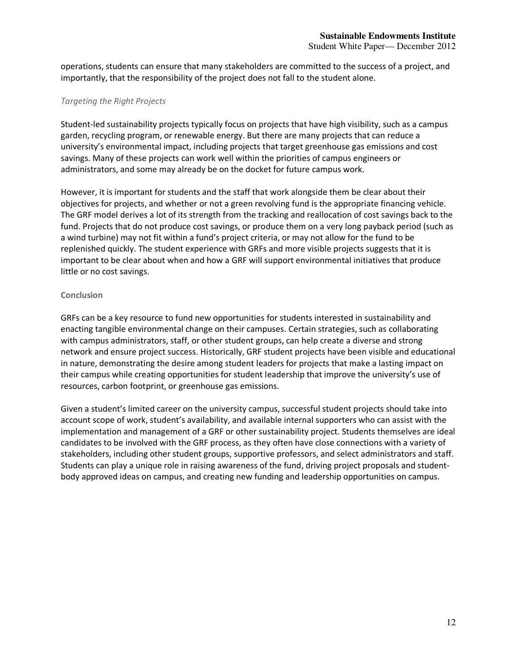operations, students can ensure that many stakeholders are committed to the success of a project, and importantly, that the responsibility of the project does not fall to the student alone.

# *Targeting the Right Projects*

Student-led sustainability projects typically focus on projects that have high visibility, such as a campus garden, recycling program, or renewable energy. But there are many projects that can reduce a university's environmental impact, including projects that target greenhouse gas emissions and cost savings. Many of these projects can work well within the priorities of campus engineers or administrators, and some may already be on the docket for future campus work.

However, it is important for students and the staff that work alongside them be clear about their objectives for projects, and whether or not a green revolving fund is the appropriate financing vehicle. The GRF model derives a lot of its strength from the tracking and reallocation of cost savings back to the fund. Projects that do not produce cost savings, or produce them on a very long payback period (such as a wind turbine) may not fit within a fund's project criteria, or may not allow for the fund to be replenished quickly. The student experience with GRFs and more visible projects suggests that it is important to be clear about when and how a GRF will support environmental initiatives that produce little or no cost savings.

## **Conclusion**

GRFs can be a key resource to fund new opportunities for students interested in sustainability and enacting tangible environmental change on their campuses. Certain strategies, such as collaborating with campus administrators, staff, or other student groups, can help create a diverse and strong network and ensure project success. Historically, GRF student projects have been visible and educational in nature, demonstrating the desire among student leaders for projects that make a lasting impact on their campus while creating opportunities for student leadership that improve the university's use of resources, carbon footprint, or greenhouse gas emissions.

Given a student's limited career on the university campus, successful student projects should take into account scope of work, student's availability, and available internal supporters who can assist with the implementation and management of a GRF or other sustainability project. Students themselves are ideal candidates to be involved with the GRF process, as they often have close connections with a variety of stakeholders, including other student groups, supportive professors, and select administrators and staff. Students can play a unique role in raising awareness of the fund, driving project proposals and studentbody approved ideas on campus, and creating new funding and leadership opportunities on campus.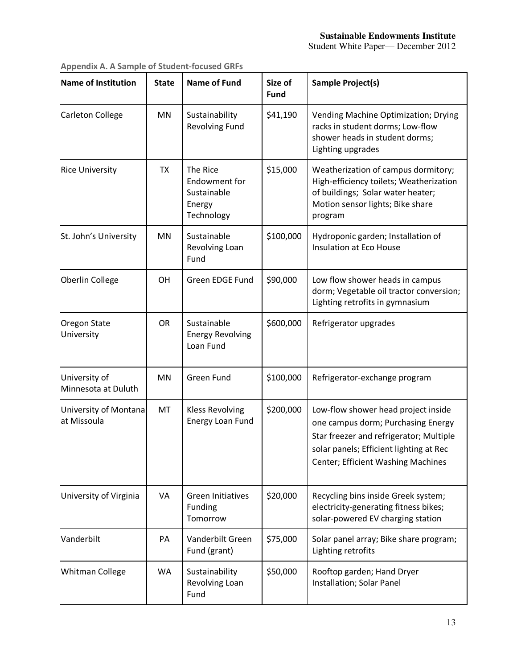# **Sustainable Endowments Institute**

Student White Paper— December 2012

| Name of Institution                   | <b>State</b> | <b>Name of Fund</b>                                                     | Size of<br><b>Fund</b> | Sample Project(s)                                                                                                                                                                                            |
|---------------------------------------|--------------|-------------------------------------------------------------------------|------------------------|--------------------------------------------------------------------------------------------------------------------------------------------------------------------------------------------------------------|
| Carleton College                      | MN           | Sustainability<br><b>Revolving Fund</b>                                 | \$41,190               | Vending Machine Optimization; Drying<br>racks in student dorms; Low-flow<br>shower heads in student dorms;<br>Lighting upgrades                                                                              |
| <b>Rice University</b>                | <b>TX</b>    | The Rice<br><b>Endowment for</b><br>Sustainable<br>Energy<br>Technology | \$15,000               | Weatherization of campus dormitory;<br>High-efficiency toilets; Weatherization<br>of buildings; Solar water heater;<br>Motion sensor lights; Bike share<br>program                                           |
| St. John's University                 | MN           | Sustainable<br>Revolving Loan<br>Fund                                   | \$100,000              | Hydroponic garden; Installation of<br>Insulation at Eco House                                                                                                                                                |
| Oberlin College                       | <b>OH</b>    | Green EDGE Fund                                                         | \$90,000               | Low flow shower heads in campus<br>dorm; Vegetable oil tractor conversion;<br>Lighting retrofits in gymnasium                                                                                                |
| <b>Oregon State</b><br>University     | <b>OR</b>    | Sustainable<br><b>Energy Revolving</b><br>Loan Fund                     | \$600,000              | Refrigerator upgrades                                                                                                                                                                                        |
| University of<br>Minnesota at Duluth  | MN           | <b>Green Fund</b>                                                       | \$100,000              | Refrigerator-exchange program                                                                                                                                                                                |
| University of Montana<br>lat Missoula | MT           | <b>Kless Revolving</b><br>Energy Loan Fund                              | \$200,000              | Low-flow shower head project inside<br>one campus dorm; Purchasing Energy<br>Star freezer and refrigerator; Multiple<br>solar panels; Efficient lighting at Rec<br><b>Center; Efficient Washing Machines</b> |
| University of Virginia                | VA           | <b>Green Initiatives</b><br>Funding<br>Tomorrow                         | \$20,000               | Recycling bins inside Greek system;<br>electricity-generating fitness bikes;<br>solar-powered EV charging station                                                                                            |
| Vanderbilt                            | PA           | Vanderbilt Green<br>Fund (grant)                                        | \$75,000               | Solar panel array; Bike share program;<br>Lighting retrofits                                                                                                                                                 |
| <b>Whitman College</b>                | WA           | Sustainability<br>Revolving Loan<br>Fund                                | \$50,000               | Rooftop garden; Hand Dryer<br>Installation; Solar Panel                                                                                                                                                      |

**Appendix A. A Sample of Student-focused GRFs**